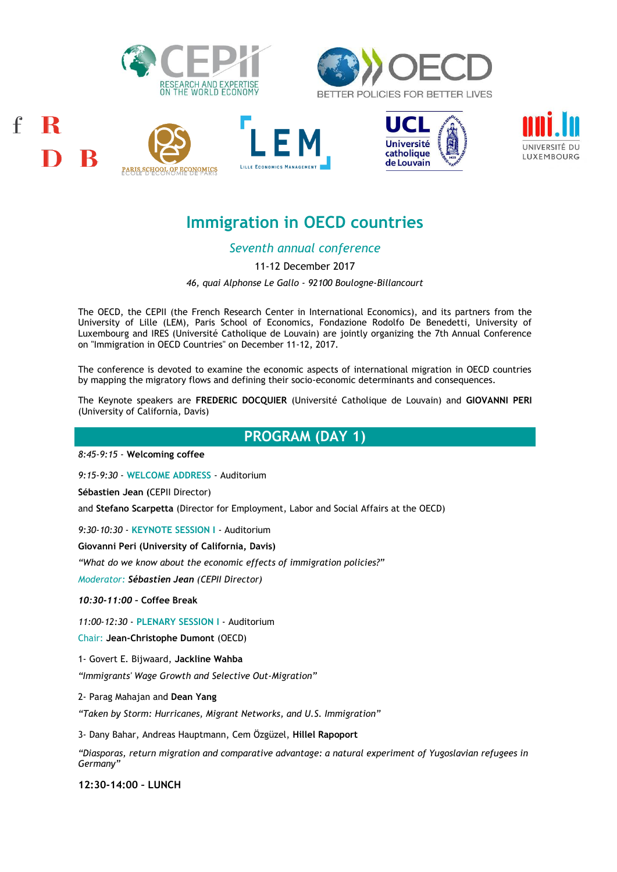

 $\mathbf{f}$ 

R

В









# **Immigration in OECD countries**

### *Seventh annual conference*

11-12 December 2017

*46, quai Alphonse Le Gallo - 92100 Boulogne-Billancourt*

The OECD, the CEPII (the French Research Center in International Economics), and its partners from the University of Lille (LEM), Paris School of Economics, Fondazione Rodolfo De Benedetti, University of Luxembourg and IRES (Université Catholique de Louvain) are jointly organizing the 7th Annual Conference on "Immigration in OECD Countries" on December 11-12, 2017.

The conference is devoted to examine the economic aspects of international migration in OECD countries by mapping the migratory flows and defining their socio-economic determinants and consequences.

The Keynote speakers are **FREDERIC DOCQUIER** (Université Catholique de Louvain) and **GIOVANNI PERI** (University of California, Davis)

## **PROGRAM (DAY 1)**

*8:45-9:15 -* **Welcoming coffee**

*9:15-9:30* - **WELCOME ADDRESS** - Auditorium

**Sébastien Jean (**CEPII Director)

and **Stefano Scarpetta** (Director for Employment, Labor and Social Affairs at the OECD)

*9:30-10:30* - **KEYNOTE SESSION I** - Auditorium

**Giovanni Peri (University of California, Davis)**

*"What do we know about the economic effects of immigration policies?"*

*Moderator: Sébastien Jean (CEPII Director)*

*10:30-11:00 –* **Coffee Break**

*11:00-12:30* - **PLENARY SESSION I** - Auditorium

Chair: **Jean-Christophe Dumont** (OECD)

1- Govert E. Bijwaard, **Jackline Wahba**

*"Immigrants' Wage Growth and Selective Out-Migration"*

2- Parag Mahajan and **Dean Yang**

*"Taken by Storm: Hurricanes, Migrant Networks, and U.S. Immigration"*

3- Dany Bahar, Andreas Hauptmann, Cem Özgüzel, **Hillel Rapoport**

*"Diasporas, return migration and comparative advantage: a natural experiment of Yugoslavian refugees in Germany"*

**12:30-14:00 – LUNCH**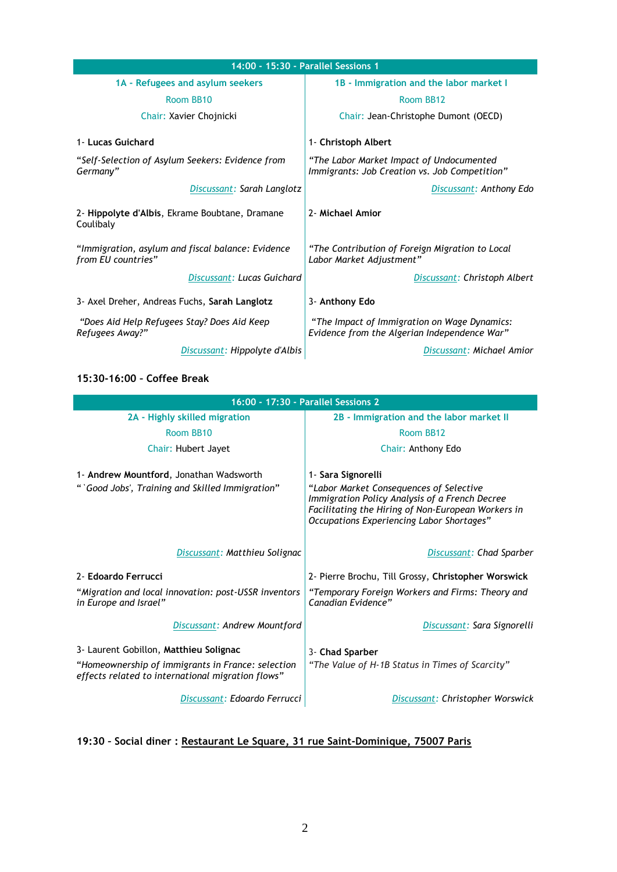| 14:00 - 15:30 - Parallel Sessions 1                                     |                                                                                              |  |
|-------------------------------------------------------------------------|----------------------------------------------------------------------------------------------|--|
| 1A - Refugees and asylum seekers                                        | 1B - Immigration and the labor market I                                                      |  |
| Room BB10                                                               | Room BB12                                                                                    |  |
| Chair: Xavier Chojnicki                                                 | Chair: Jean-Christophe Dumont (OECD)                                                         |  |
| 1- Lucas Guichard                                                       | 1 - Christoph Albert                                                                         |  |
| "Self-Selection of Asylum Seekers: Evidence from<br>Germany"            | "The Labor Market Impact of Undocumented<br>Immigrants: Job Creation vs. Job Competition"    |  |
| Discussant: Sarah Langlotz                                              | Discussant: Anthony Edo                                                                      |  |
| 2- Hippolyte d'Albis, Ekrame Boubtane, Dramane<br>Coulibaly             | 2- Michael Amior                                                                             |  |
| "Immigration, asylum and fiscal balance: Evidence<br>from EU countries" | "The Contribution of Foreign Migration to Local<br>Labor Market Adjustment"                  |  |
| Discussant: Lucas Guichard                                              | Discussant: Christoph Albert                                                                 |  |
| 3- Axel Dreher, Andreas Fuchs, Sarah Langlotz                           | 3- Anthony Edo                                                                               |  |
| "Does Aid Help Refugees Stay? Does Aid Keep<br>Refugees Away?"          | "The Impact of Immigration on Wage Dynamics:<br>Evidence from the Algerian Independence War" |  |
| Discussant: Hippolyte d'Albis                                           | Discussant: Michael Amior                                                                    |  |

### **15:30-16:00 – Coffee Break**

| 16:00 - 17:30 - Parallel Sessions 2                                                                    |                                                                                                                                                                                                                    |  |
|--------------------------------------------------------------------------------------------------------|--------------------------------------------------------------------------------------------------------------------------------------------------------------------------------------------------------------------|--|
| 2A - Highly skilled migration                                                                          | 2B - Immigration and the labor market II                                                                                                                                                                           |  |
| Room BB10                                                                                              | Room BB12                                                                                                                                                                                                          |  |
| Chair: Hubert Jayet                                                                                    | Chair: Anthony Edo                                                                                                                                                                                                 |  |
| 1- Andrew Mountford, Jonathan Wadsworth<br>" 'Good Jobs', Training and Skilled Immigration"            | 1- Sara Signorelli<br>"Labor Market Consequences of Selective<br>Immigration Policy Analysis of a French Decree<br>Facilitating the Hiring of Non-European Workers in<br>Occupations Experiencing Labor Shortages" |  |
| Discussant: Matthieu Solignac                                                                          | Discussant: Chad Sparber                                                                                                                                                                                           |  |
| 2- Edoardo Ferrucci                                                                                    | 2- Pierre Brochu, Till Grossy, Christopher Worswick                                                                                                                                                                |  |
| "Migration and local innovation: post-USSR inventors<br>in Europe and Israel"                          | "Temporary Foreign Workers and Firms: Theory and<br>Canadian Evidence"                                                                                                                                             |  |
| Discussant: Andrew Mountford                                                                           | Discussant: Sara Signorelli                                                                                                                                                                                        |  |
| 3- Laurent Gobillon, Matthieu Solignac                                                                 | 3- Chad Sparber                                                                                                                                                                                                    |  |
| "Homeownership of immigrants in France: selection<br>effects related to international migration flows" | "The Value of H-1B Status in Times of Scarcity"                                                                                                                                                                    |  |
| Discussant: Edoardo Ferrucci                                                                           | Discussant: Christopher Worswick                                                                                                                                                                                   |  |

### **19:30 – Social diner : Restaurant Le Square, 31 rue Saint-Dominique, 75007 Paris**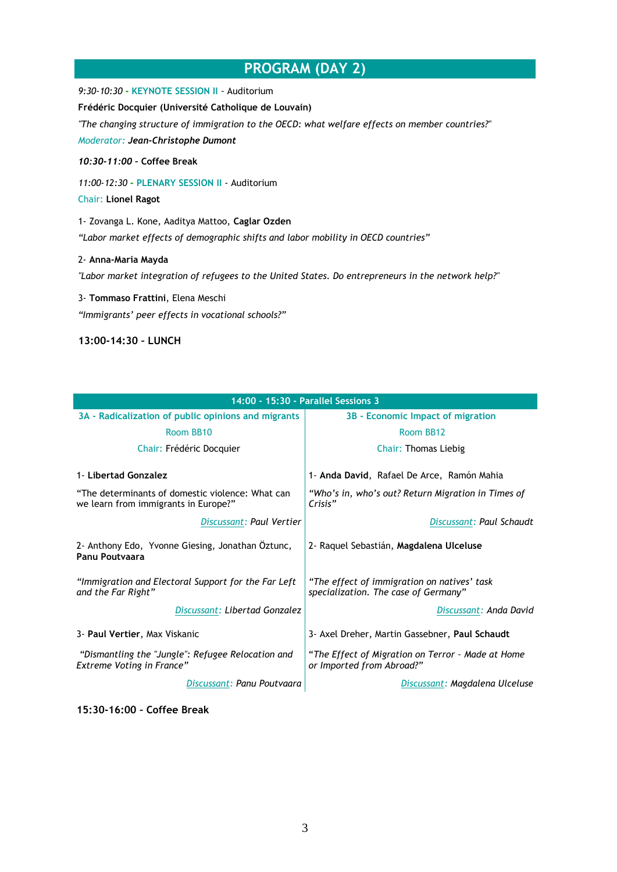# **PROGRAM (DAY 2)**

*9:30-10:30* **- KEYNOTE SESSION II** - Auditorium

**Frédéric Docquier (Université Catholique de Louvain)**

*"The changing structure of immigration to the OECD: what welfare effects on member countries?"*

*Moderator: Jean-Christophe Dumont*

#### *10:30-11:00 –* **Coffee Break**

*11:00-12:30* **- PLENARY SESSION II** - Auditorium

### Chair: **Lionel Ragot**

1- Zovanga L. Kone, Aaditya Mattoo, **Caglar Ozden**

*"Labor market effects of demographic shifts and labor mobility in OECD countries"*

#### 2- **Anna-Maria Mayda**

*"Labor market integration of refugees to the United States. Do entrepreneurs in the network help?"*

3- **Tommaso Frattini**, Elena Meschi

*"Immigrants' peer effects in vocational schools?"*

#### **13:00-14:30 – LUNCH**

| 14:00 - 15:30 - Parallel Sessions 3                                                      |                                                                                     |
|------------------------------------------------------------------------------------------|-------------------------------------------------------------------------------------|
| 3A - Radicalization of public opinions and migrants                                      | 3B - Economic Impact of migration                                                   |
| Room BB10                                                                                | Room BB12                                                                           |
| Chair: Frédéric Docquier                                                                 | Chair: Thomas Liebig                                                                |
| 1- Libertad Gonzalez                                                                     | 1 <b>Anda David, Rafael De Arce, Ramón Mahia</b>                                    |
| "The determinants of domestic violence: What can<br>we learn from immigrants in Europe?" | "Who's in, who's out? Return Migration in Times of<br>Crisis"                       |
| Discussant: Paul Vertier                                                                 | Discussant: Paul Schaudt                                                            |
| 2- Anthony Edo, Yvonne Giesing, Jonathan Öztunc,<br>Panu Poutvaara                       | 2- Raquel Sebastián, Magdalena Ulceluse                                             |
| "Immigration and Electoral Support for the Far Left"<br>and the Far Right"               | "The effect of immigration on natives' task<br>specialization. The case of Germany" |
| Discussant: Libertad Gonzalez                                                            | Discussant: Anda David                                                              |
| 3 - Paul Vertier, Max Viskanic                                                           | 3- Axel Dreher, Martin Gassebner, Paul Schaudt                                      |
| "Dismantling the "Jungle": Refugee Relocation and<br>Extreme Voting in France"           | "The Effect of Migration on Terror - Made at Home<br>or Imported from Abroad?"      |
| Discussant: Panu Poutvaara                                                               | Discussant: Magdalena Ulceluse                                                      |

**15:30-16:00 – Coffee Break**